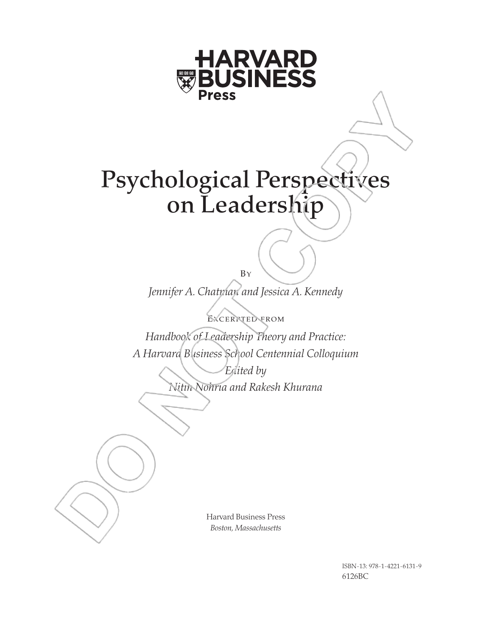

# **Psychological Perspectives on Leadership**

*Jennifer A. Chatman and Jessica A. Kennedy*

**B**Y

EXCERPTED FROM *Handbook of Leadership Theory and Practice: A Harvard Business School Centennial Colloquium Edited by*

*Nitin Nohria and Rakesh Khurana*

Harvard Business Press *Boston, Massachusetts*

> ISBN-13: 978-1-4221-6131-9 6126BC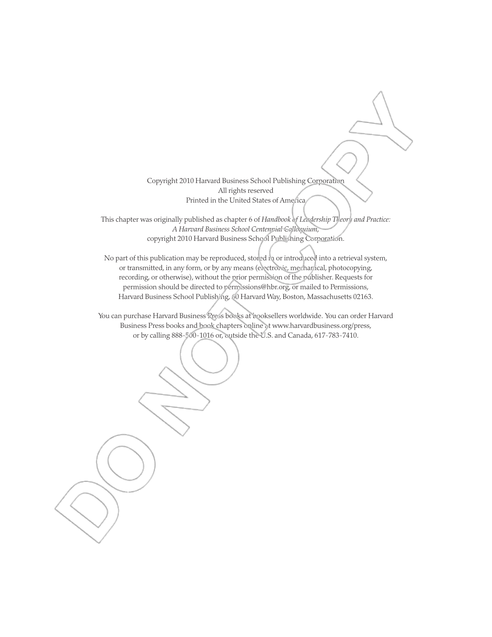Copyright 2010 Harvard Business School Publishing Corporation All rights reserved Printed in the United States of America

This chapter was originally published as chapter 6 of *Handbook of Leadership Theory and Practice: A Harvard Business School Centennial Colloquium*, copyright 2010 Harvard Business School Publishing Corporation.

No part of this publication may be reproduced, stored in or introduced into a retrieval system, or transmitted, in any form, or by any means (electronic, mechanical, photocopying, recording, or otherwise), without the prior permission of the publisher. Requests for permission should be directed to permissions@hbr.org, or mailed to Permissions, Harvard Business School Publishing, 60 Harvard Way, Boston, Massachusetts 02163.

You can purchase Harvard Business Press books at booksellers worldwide. You can order Harvard Business Press books and book chapters online at www.harvardbusiness.org/press, or by calling 888-500-1016 or, outside the U.S. and Canada, 617-783-7410.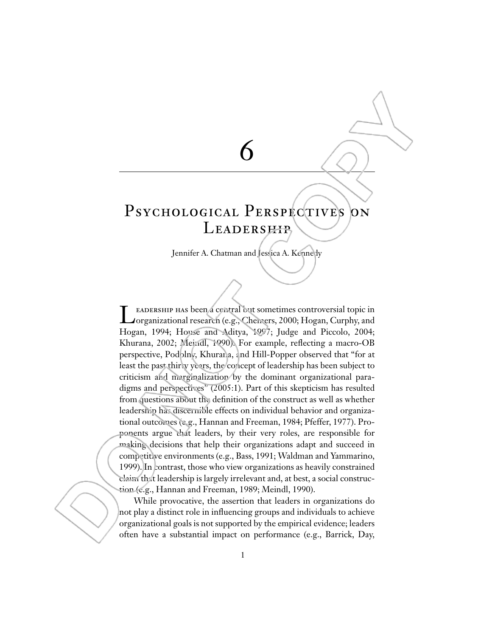# 6

## PSYCHOLOGICAL PERSPECTIVES ON LEADERSHIP

Jennifer A. Chatman and Jessica A. Kennedy

Leadership has been a central but sometimes controversial topic in organizational research (e.g., Chemers, 2000; Hogan, Curphy, and Hogan, 1994; House and Aditya, 1997; Judge and Piccolo, 2004; Khurana, 2002; Meindl, 1990). For example, reflecting a macro-OB perspective, Podolny, Khurana, and Hill-Popper observed that "for at least the past thirty years, the concept of leadership has been subject to criticism and marginalization by the dominant organizational paradigms and perspectives" (2005:1). Part of this skepticism has resulted from questions about the definition of the construct as well as whether leadership has discernible effects on individual behavior and organizational outcomes (e.g., Hannan and Freeman, 1984; Pfeffer, 1977). Proponents argue that leaders, by their very roles, are responsible for making decisions that help their organizations adapt and succeed in competitive environments (e.g., Bass, 1991; Waldman and Yammarino, 1999). In contrast, those who view organizations as heavily constrained claim that leadership is largely irrelevant and, at best, a social construction (e.g., Hannan and Freeman, 1989; Meindl, 1990).

While provocative, the assertion that leaders in organizations do not play a distinct role in influencing groups and individuals to achieve organizational goals is not supported by the empirical evidence; leaders often have a substantial impact on performance (e.g., Barrick, Day,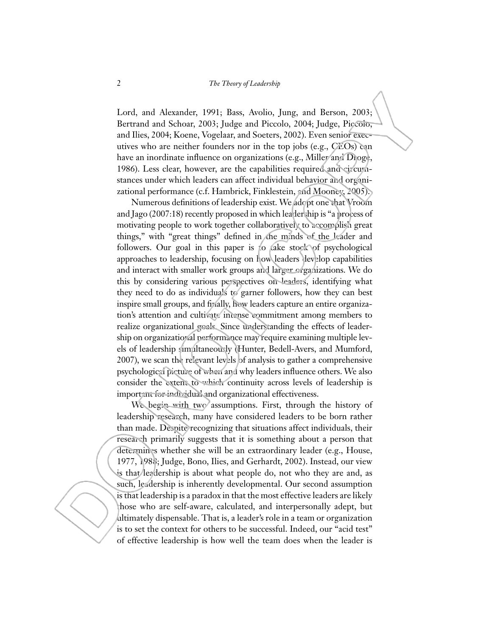Lord, and Alexander, 1991; Bass, Avolio, Jung, and Berson, 2003; Bertrand and Schoar, 2003; Judge and Piccolo, 2004; Judge, Piccolo, and Ilies, 2004; Koene, Vogelaar, and Soeters, 2002). Even senior executives who are neither founders nor in the top jobs (e.g., CEOs) can have an inordinate influence on organizations (e.g., Miller and Droge, 1986). Less clear, however, are the capabilities required and circumstances under which leaders can affect individual behavior and organizational performance (c.f. Hambrick, Finklestein, and Mooney, 2005).

Numerous definitions of leadership exist. We adopt one that Vroom and Jago (2007:18) recently proposed in which leadership is "a process of motivating people to work together collaboratively to accomplish great things," with "great things" defined in the minds of the leader and followers. Our goal in this paper is to take stock of psychological approaches to leadership, focusing on how leaders develop capabilities and interact with smaller work groups and larger organizations. We do this by considering various perspectives on leaders, identifying what they need to do as individuals to garner followers, how they can best inspire small groups, and finally, how leaders capture an entire organization's attention and cultivate intense commitment among members to realize organizational goals. Since understanding the effects of leadership on organizational performance may require examining multiple levels of leadership simultaneously (Hunter, Bedell-Avers, and Mumford, 2007), we scan the relevant levels of analysis to gather a comprehensive psychological picture of when and why leaders influence others. We also consider the extent to which continuity across levels of leadership is important for individual and organizational effectiveness.

We begin with two assumptions. First, through the history of leadership research, many have considered leaders to be born rather than made. Despite recognizing that situations affect individuals, their research primarily suggests that it is something about a person that determines whether she will be an extraordinary leader (e.g., House, 1977, 1988; Judge, Bono, Ilies, and Gerhardt, 2002). Instead, our view is that leadership is about what people do, not who they are and, as such, leadership is inherently developmental. Our second assumption is that leadership is a paradox in that the most effective leaders are likely those who are self-aware, calculated, and interpersonally adept, but ultimately dispensable. That is, a leader's role in a team or organization is to set the context for others to be successful. Indeed, our "acid test" of effective leadership is how well the team does when the leader is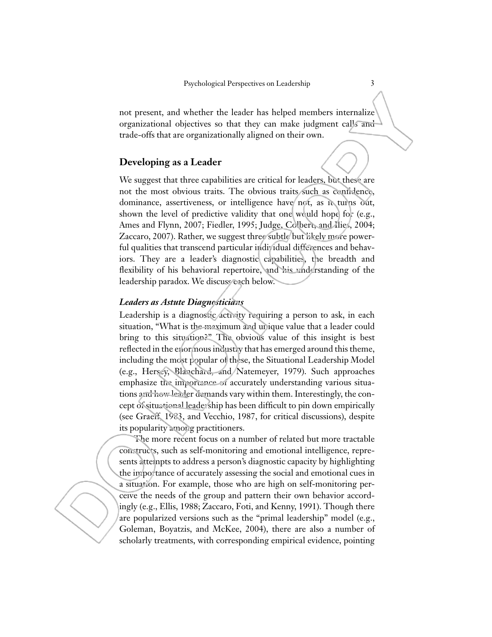not present, and whether the leader has helped members internalize organizational objectives so that they can make judgment calls and trade-offs that are organizationally aligned on their own.

#### **Developing as a Leader**

We suggest that three capabilities are critical for leaders, but these are not the most obvious traits. The obvious traits such as confidence, dominance, assertiveness, or intelligence have not, as it turns out, shown the level of predictive validity that one would hope for (e.g., Ames and Flynn, 2007; Fiedler, 1995; Judge, Colbert, and Ilies, 2004; Zaccaro, 2007). Rather, we suggest three subtle but likely more powerful qualities that transcend particular individual differences and behaviors. They are a leader's diagnostic capabilities, the breadth and flexibility of his behavioral repertoire, and his understanding of the leadership paradox. We discuss each below.

#### *Leaders as Astute Diagnosticians*

Leadership is a diagnostic activity requiring a person to ask, in each situation, "What is the maximum and urique value that a leader could bring to this situation?" The obvious value of this insight is best reflected in the enormous industry that has emerged around this theme, including the most popular of these, the Situational Leadership Model (e.g., Hersey, Blanchard, and Natemeyer, 1979). Such approaches emphasize the importance of accurately understanding various situations and how leader demands vary within them. Interestingly, the concept of situational leadership has been difficult to pin down empirically (see Graeff, 1983, and Vecchio, 1987, for critical discussions), despite its popularity among practitioners.

The more recent focus on a number of related but more tractable constructs, such as self-monitoring and emotional intelligence, represents attempts to address a person's diagnostic capacity by highlighting the importance of accurately assessing the social and emotional cues in a situation. For example, those who are high on self-monitoring perceive the needs of the group and pattern their own behavior accordingly (e.g., Ellis, 1988; Zaccaro, Foti, and Kenny, 1991). Though there are popularized versions such as the "primal leadership" model (e.g., Goleman, Boyatzis, and McKee, 2004), there are also a number of scholarly treatments, with corresponding empirical evidence, pointing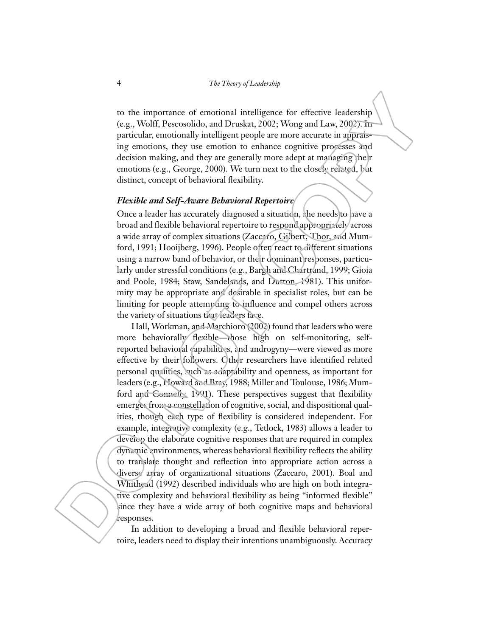to the importance of emotional intelligence for effective leadership (e.g., Wolff, Pescosolido, and Druskat, 2002; Wong and Law, 2002). In particular, emotionally intelligent people are more accurate in appraising emotions, they use emotion to enhance cognitive processes and decision making, and they are generally more adept at managing their emotions (e.g., George, 2000). We turn next to the closely related, but distinct, concept of behavioral flexibility.

#### *Flexible and Self-Aware Behavioral Repertoire*

Once a leader has accurately diagnosed a situation, she needs to have a broad and flexible behavioral repertoire to respond appropriately across a wide array of complex situations (Zaccaro, Gilbert, Thor, and Mumford, 1991; Hooijberg, 1996). People often react to different situations using a narrow band of behavior, or their dominant responses, particularly under stressful conditions (e.g., Bargh and Chartrand, 1999; Gioia and Poole, 1984; Staw, Sandelands, and Dutton, 1981). This uniformity may be appropriate and desirable in specialist roles, but can be limiting for people attempting to influence and compel others across the variety of situations that leaders face.

Hall, Workman, and Marchioro (2002) found that leaders who were more behaviorally flexible—those high on self-monitoring, selfreported behavioral capabilities, and androgyny—were viewed as more effective by their followers. Other researchers have identified related personal qualities, such as adaptability and openness, as important for leaders (e.g., Howard and Bray, 1988; Miller and Toulouse, 1986; Mumford and Connelly, 1991). These perspectives suggest that flexibility emerges from a constellation of cognitive, social, and dispositional qualities, though each type of flexibility is considered independent. For example, integrative complexity (e.g., Tetlock, 1983) allows a leader to develop the elaborate cognitive responses that are required in complex dynamic environments, whereas behavioral flexibility reflects the ability to translate thought and reflection into appropriate action across a diverse array of organizational situations (Zaccaro, 2001). Boal and Whithead (1992) described individuals who are high on both integrative complexity and behavioral flexibility as being "informed flexible" since they have a wide array of both cognitive maps and behavioral responses.

In addition to developing a broad and flexible behavioral repertoire, leaders need to display their intentions unambiguously. Accuracy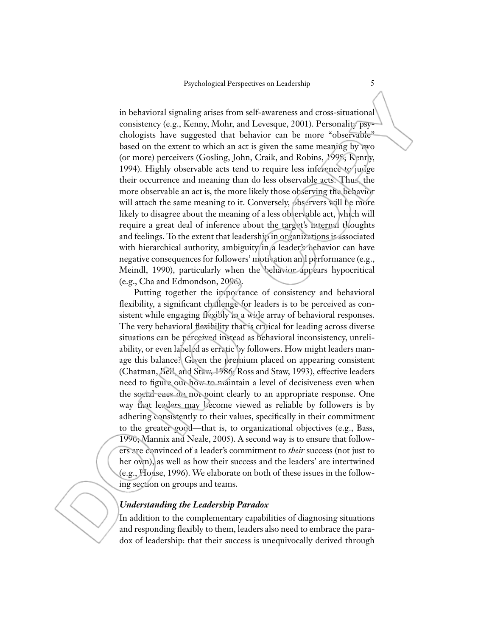in behavioral signaling arises from self-awareness and cross-situational consistency (e.g., Kenny, Mohr, and Levesque, 2001). Personality psychologists have suggested that behavior can be more "observable" based on the extent to which an act is given the same meaning by two (or more) perceivers (Gosling, John, Craik, and Robins, 1998; Kenrly, 1994). Highly observable acts tend to require less inference to judge their occurrence and meaning than do less observable acts. Thus, the more observable an act is, the more likely those observing the behavior will attach the same meaning to it. Conversely, observers will be more likely to disagree about the meaning of a less observable act, which will require a great deal of inference about the target's internal thoughts and feelings. To the extent that leadership in organizations is associated with hierarchical authority, ambiguity in a leader's behavior can have negative consequences for followers' motivation and performance (e.g., Meindl, 1990), particularly when the behavior appears hypocritical (e.g., Cha and Edmondson, 2006).

Putting together the importance of consistency and behavioral flexibility, a significant challenge for leaders is to be perceived as consistent while engaging flexibly in a wide array of behavioral responses. The very behavioral flexibility that is critical for leading across diverse situations can be perceived instead as behavioral inconsistency, unreliability, or even labeled as erratic by followers. How might leaders manage this balance? Given the premium placed on appearing consistent ( Chatman, Bell, and Staw, 1986; Ross and Staw, 1993), effective leaders need to figure out how to maintain a level of decisiveness even when the social cues do not point clearly to an appropriate response. One way that leaders may become viewed as reliable by followers is by adhering consistently to their values, specifically in their commitment to the greater good—that is, to organizational objectives (e.g., Bass, 1990; Mannix and Neale, 2005). A second way is to ensure that followers are convinced of a leader's commitment to *their* success (not just to her own), as well as how their success and the leaders' are intertwined (e.g., House, 1996). We elaborate on both of these issues in the following section on groups and teams.

#### *Understanding the Leadership Paradox*

In addition to the complementary capabilities of diagnosing situations and responding flexibly to them, leaders also need to embrace the paradox of leadership: that their success is unequivocally derived through

5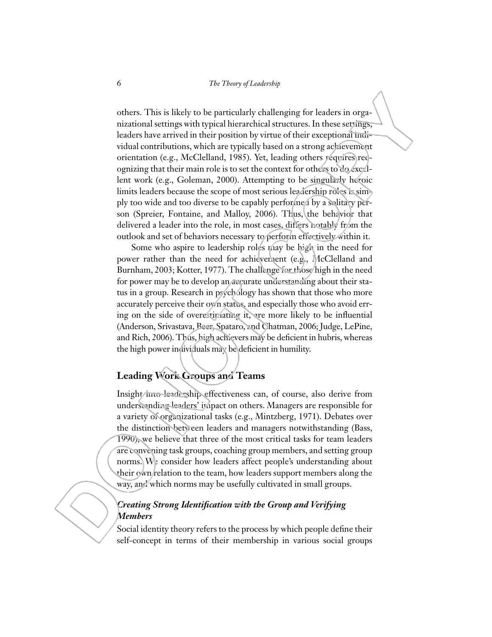others. This is likely to be particularly challenging for leaders in organizational settings with typical hierarchical structures. In these settings, leaders have arrived in their position by virtue of their exceptional individual contributions, which are typically based on a strong achievement orientation (e.g., McClelland, 1985). Yet, leading others requires recognizing that their main role is to set the context for others to do excellent work (e.g., Goleman, 2000). Attempting to be singularly heroic limits leaders because the scope of most serious leadership roles is simply too wide and too diverse to be capably performed by a solitary person (Spreier, Fontaine, and Malloy, 2006). Thus, the behavior that delivered a leader into the role, in most cases, differs notably from the outlook and set of behaviors necessary to perform effectively within it.

Some who aspire to leadership roles may be high in the need for power rather than the need for achievement (e.g., McClelland and Burnham, 2003; Kotter, 1977). The challenge for those high in the need for power may be to develop an accurate understanding about their status in a group. Research in psychology has shown that those who more accurately perceive their own status, and especially those who avoid erring on the side of overestimating it, are more likely to be influential ( Anderson, Srivastava, Beer, Spataro, and Chatman, 2006; Judge, LePine, and Rich, 2006). Thus, high achievers may be deficient in hubris, whereas the high power individuals may be deficient in humility.

#### **Leading Work Groups and Teams**

Insight into leade ship effectiveness can, of course, also derive from understanding leaders' impact on others. Managers are responsible for a variety of organizational tasks (e.g., Mintzberg, 1971). Debates over the distinction between leaders and managers notwithstanding (Bass, 1990), we believe that three of the most critical tasks for team leaders are convening task groups, coaching group members, and setting group norms. We consider how leaders affect people's understanding about their own relation to the team, how leaders support members along the way, and which norms may be usefully cultivated in small groups.

#### *Creating Strong Identifi cation with the Group and Verifying Members*

Social identity theory refers to the process by which people define their self-concept in terms of their membership in various social groups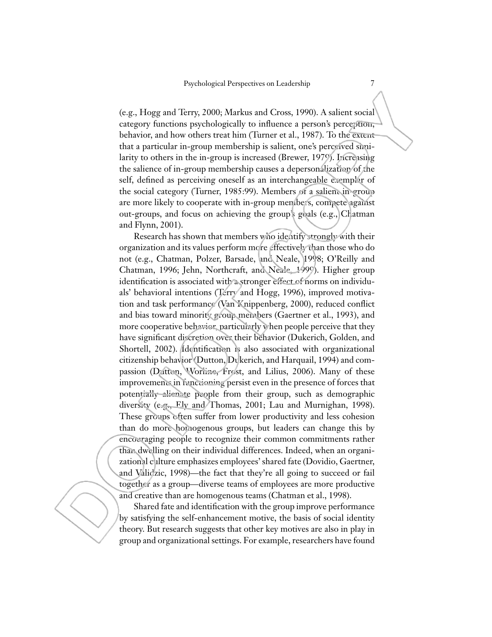(e.g., Hogg and Terry, 2000; Markus and Cross, 1990). A salient social category functions psychologically to influence a person's perception, behavior, and how others treat him (Turner et al., 1987). To the extent that a particular in-group membership is salient, one's perceived similarity to others in the in-group is increased (Brewer, 1970). Increasing the salience of in-group membership causes a depersonalization of the self, defined as perceiving oneself as an interchangeable exemplar of the social category (Turner, 1985:99). Members of a salient in-group are more likely to cooperate with in-group members, compete against out-groups, and focus on achieving the group's goals (e.g., Chatman and Flynn, 2001).

Research has shown that members who identify strongly with their organization and its values perform more effectively than those who do not (e.g., Chatman, Polzer, Barsade, and Neale, 1998; O'Reilly and Chatman, 1996; Jehn, Northcraft, and Neale, 1999). Higher group identification is associated with a stronger effect of norms on individuals' behavioral intentions (Terry and Hogg, 1996), improved motivation and task performance (Van Knippenberg, 2000), reduced conflict and bias toward minority group members (Gaertner et al., 1993), and more cooperative behavior, particularly when people perceive that they have significant discretion over their behavior (Dukerich, Golden, and Shortell, 2002). Identification is also associated with organizational citizenship behavior (Dutton, Dukerich, and Harquail, 1994) and compassion (Dutton, Worline, Frost, and Lilius, 2006). Many of these improvements in functioning persist even in the presence of forces that potentially alienate people from their group, such as demographic diversity (e.g., Fly and Thomas, 2001; Lau and Murnighan, 1998). These groups often suffer from lower productivity and less cohesion than do more homogenous groups, but leaders can change this by encouraging people to recognize their common commitments rather than dwelling on their individual differences. Indeed, when an organizational culture emphasizes employees' shared fate (Dovidio, Gaertner, and Validzic, 1998)—the fact that they're all going to succeed or fail together as a group—diverse teams of employees are more productive and creative than are homogenous teams (Chatman et al., 1998).

Shared fate and identification with the group improve performance by satisfying the self-enhancement motive, the basis of social identity theory. But research suggests that other key motives are also in play in group and organizational settings. For example, researchers have found

7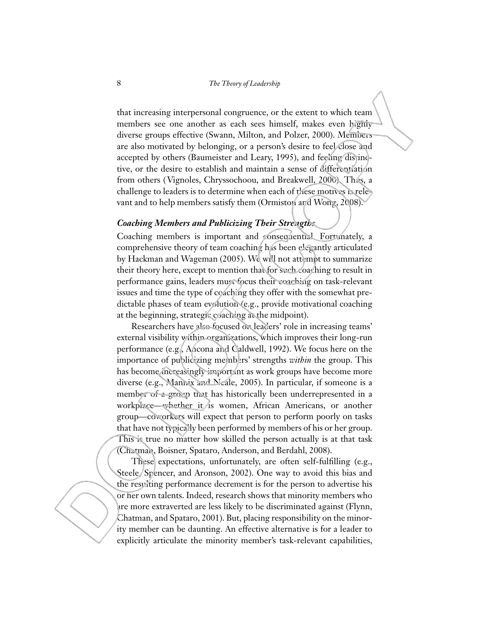that increasing interpersonal congruence, or the extent to which team members see one another as each sees himself, makes even highly diverse groups effective (Swann, Milton, and Polzer, 2000). Members are also motivated by belonging, or a person's desire to feel close and accepted by others (Baumeister and Leary, 1995), and feeling distinctive, or the desire to establish and maintain a sense of differentiation from others (Vignoles, Chryssochoou, and Breakwell, 2000). Thus, a challenge to leaders is to determine when each of these motives is relevant and to help members satisfy them (Ormiston and Wong, 2008).

#### *Coaching Members and Publicizing Their Strengths*

Coaching members is important and consequential. Fortunately, a comprehensive theory of team coaching has been elegantly articulated by Hackman and Wageman (2005). We will not attempt to summarize their theory here, except to mention that for such coaching to result in performance gains, leaders must focus their coaching on task-relevant issues and time the type of coaching they offer with the somewhat predictable phases of team evolution (e.g., provide motivational coaching at the beginning, strategic coaching at the midpoint).

Researchers have also focused on leaders' role in increasing teams' external visibility within organizations, which improves their long-run performance (e.g., Ancona and Caldwell, 1992). We focus here on the importance of publicizing members' strengths *within* the group. This has become increasingly important as work groups have become more diverse (e.g., Mannix and Neale, 2005). In particular, if someone is a member of a group that has historically been underrepresented in a workplace—whether it is women, African Americans, or another group—coworkers will expect that person to perform poorly on tasks that have not typically been performed by members of his or her group. This is true no matter how skilled the person actually is at that task ( Chatman, Boisner, Spataro, Anderson, and Berdahl, 2008).

These expectations, unfortunately, are often self-fulfilling (e.g., Steele, Spencer, and Aronson, 2002). One way to avoid this bias and the resulting performance decrement is for the person to advertise his or her own talents. Indeed, research shows that minority members who are more extraverted are less likely to be discriminated against (Flynn, Chatman, and Spataro, 2001). But, placing responsibility on the minority member can be daunting. An effective alternative is for a leader to explicitly articulate the minority member's task-relevant capabilities,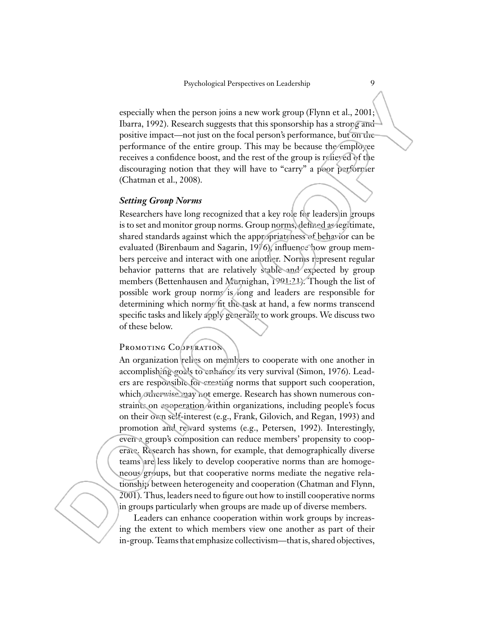especially when the person joins a new work group (Flynn et al., 2001; Ibarra, 1992). Research suggests that this sponsorship has a strong and positive impact—not just on the focal person's performance, but on the performance of the entire group. This may be because the employee receives a confidence boost, and the rest of the group is relieved of the discouraging notion that they will have to "carry" a poor performer ( Chatman et al., 2008).

#### *Setting Group Norms*

Researchers have long recognized that a key role for leaders in groups is to set and monitor group norms. Group norms, defined as legitimate, shared standards against which the appropriateness of behavior can be evaluated (Birenbaum and Sagarin, 19/6), influence how group members perceive and interact with one another. Norms represent regular behavior patterns that are relatively stable and expected by group members (Bettenhausen and Murnighan, 1991:21). Though the list of possible work group norms is long and leaders are responsible for determining which norms fit the task at hand, a few norms transcend specific tasks and likely apply generally to work groups. We discuss two of these below.

#### Promoting Cooperation

An organization relies on members to cooperate with one another in accomplishing goals to enhance its very survival (Simon, 1976). Leaders are responsible for creating norms that support such cooperation, which otherwise may not emerge. Research has shown numerous constraints on cooperation within organizations, including people's focus on their own self-interest (e.g., Frank, Gilovich, and Regan, 1993) and promotion and reward systems (e.g., Petersen, 1992). Interestingly, even a group's composition can reduce members' propensity to cooperate. Research has shown, for example, that demographically diverse teams are less likely to develop cooperative norms than are homogeneous groups, but that cooperative norms mediate the negative relationship between heterogeneity and cooperation (Chatman and Flynn,  $2001$ ). Thus, leaders need to figure out how to instill cooperative norms in groups particularly when groups are made up of diverse members.

Leaders can enhance cooperation within work groups by increasing the extent to which members view one another as part of their in-group. Teams that emphasize collectivism—that is, shared objectives,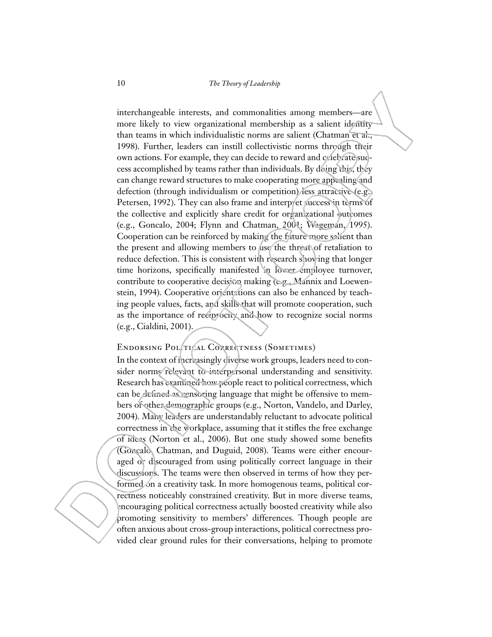interchangeable interests, and commonalities among members—are more likely to view organizational membership as a salient identity than teams in which individualistic norms are salient (Chatman et al., 1998). Further, leaders can instill collectivistic norms through their own actions. For example, they can decide to reward and celebrate success accomplished by teams rather than individuals. By doing this, they can change reward structures to make cooperating more appealing and defection (through individualism or competition) less attractive (e.g., Petersen, 1992). They can also frame and interpret success in terms of the collective and explicitly share credit for organizational outcomes (e.g., Goncalo, 2004; Flynn and Chatman, 2001; Wageman, 1995). Cooperation can be reinforced by making the future more salient than the present and allowing members to use the threat of retaliation to reduce defection. This is consistent with research showing that longer time horizons, specifically manifested in lower employee turnover, contribute to cooperative decision making (e.g., Mannix and Loewenstein, 1994). Cooperative orientations can also be enhanced by teaching people values, facts, and skills that will promote cooperation, such as the importance of reciprocity and how to recognize social norms (e.g., Cialdini, 2001).

#### ENDORSING POLITICAL CORRECTNESS (SOMETIMES)

In the context of increasingly diverse work groups, leaders need to consider norms relevant to interpersonal understanding and sensitivity. Research has examined how people react to political correctness, which can be defined as censoring language that might be offensive to members of other demographic groups (e.g., Norton, Vandelo, and Darley, 2004). Many leaders are understandably reluctant to advocate political correctness in the workplace, assuming that it stifles the free exchange of ideas (Norton et al., 2006). But one study showed some benefits ( Goncalo, Chatman, and Duguid, 2008). Teams were either encouraged or discouraged from using politically correct language in their discussions. The teams were then observed in terms of how they performed on a creativity task. In more homogenous teams, political correctness noticeably constrained creativity. But in more diverse teams, encouraging political correctness actually boosted creativity while also promoting sensitivity to members' differences. Though people are often anxious about cross-group interactions, political correctness provided clear ground rules for their conversations, helping to promote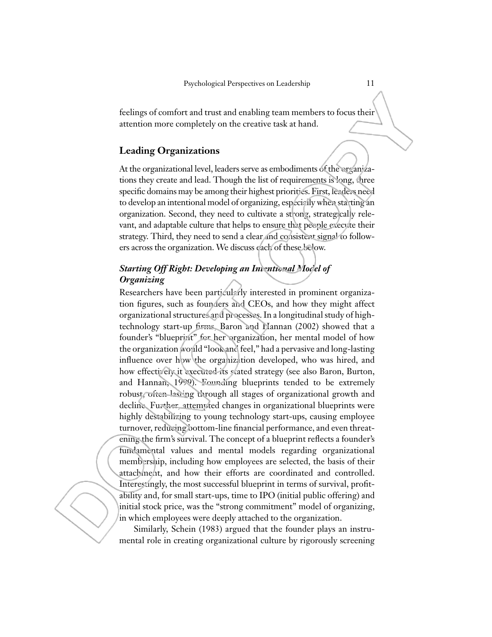feelings of comfort and trust and enabling team members to focus their attention more completely on the creative task at hand.

#### **Leading Organizations**

At the organizational level, leaders serve as embodiments of the organizations they create and lead. Though the list of requirements is long, three specific domains may be among their highest priorities. First, leaders need to develop an intentional model of organizing, especially when starting an organization. Second, they need to cultivate a strong, strategically relevant, and adaptable culture that helps to ensure that people execute their strategy. Third, they need to send a clear and consistent signal to followers across the organization. We discuss each of these below.

#### *Starting Off Right: Developing an International Model of Organizing*

Researchers have been particularly interested in prominent organization figures, such as founders and CEOs, and how they might affect organizational structures and processes. In a longitudinal study of hightechnology start-up firms, Baron and Hannan (2002) showed that a founder's "blueprint" for her organization, her mental model of how the organization would "look and feel," had a pervasive and long-lasting influence over how the organization developed, who was hired, and how effectively it executed its stated strategy (see also Baron, Burton, and Hannan, 1999). Founding blueprints tended to be extremely robust, often lasting through all stages of organizational growth and decline. Further, attempted changes in organizational blueprints were highly destabilizing to young technology start-ups, causing employee turnover, reducing bottom-line financial performance, and even threatening the firm's survival. The concept of a blueprint reflects a founder's fundamental values and mental models regarding organizational membership, including how employees are selected, the basis of their attachment, and how their efforts are coordinated and controlled. Interestingly, the most successful blueprint in terms of survival, profitability and, for small start-ups, time to IPO (initial public offering) and initial stock price, was the "strong commitment" model of organizing, in which employees were deeply attached to the organization.

Similarly, Schein (1983) argued that the founder plays an instrumental role in creating organizational culture by rigorously screening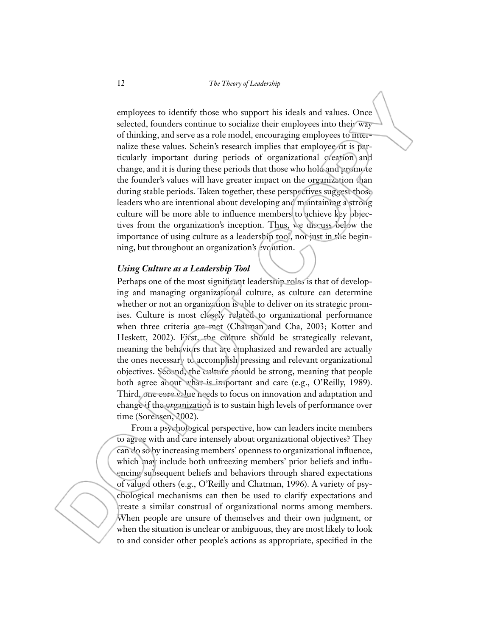employees to identify those who support his ideals and values. Once selected, founders continue to socialize their employees into their way of thinking, and serve as a role model, encouraging employees to internalize these values. Schein's research implies that employee in the particularly important during periods of organizational creation and change, and it is during these periods that those who hold and promote the founder's values will have greater impact on the organization than during stable periods. Taken together, these perspectives suggest those leaders who are intentional about developing and maintaining a strong culture will be more able to influence members to achieve key objectives from the organization's inception. Thus, we discuss below the importance of using culture as a leadership tool, not just in the beginning, but throughout an organization's evolution.

#### *Using Culture as a Leadership Tool*

Perhaps one of the most significant leadership roles is that of developing and managing organizational culture, as culture can determine whether or not an organization is able to deliver on its strategic promises. Culture is most closely related to organizational performance when three criteria are met (Chaunan and Cha, 2003; Kotter and Heskett, 2002). First, the culture should be strategically relevant, meaning the behaviors that are emphasized and rewarded are actually the ones necessary to accomplish pressing and relevant organizational objectives. Second, the culture should be strong, meaning that people both agree about what is important and care (e.g., O'Reilly, 1989). Third, one core value needs to focus on innovation and adaptation and change if the organization is to sustain high levels of performance over time (Sorensen, 2002).

From a psychological perspective, how can leaders incite members to agree with and care intensely about organizational objectives? They can do so by increasing members' openness to organizational influence, which may include both unfreezing members' prior beliefs and influencing subsequent beliefs and behaviors through shared expectations of valued others (e.g., O'Reilly and Chatman, 1996). A variety of psychological mechanisms can then be used to clarify expectations and create a similar construal of organizational norms among members. When people are unsure of themselves and their own judgment, or when the situation is unclear or ambiguous, they are most likely to look to and consider other people's actions as appropriate, specified in the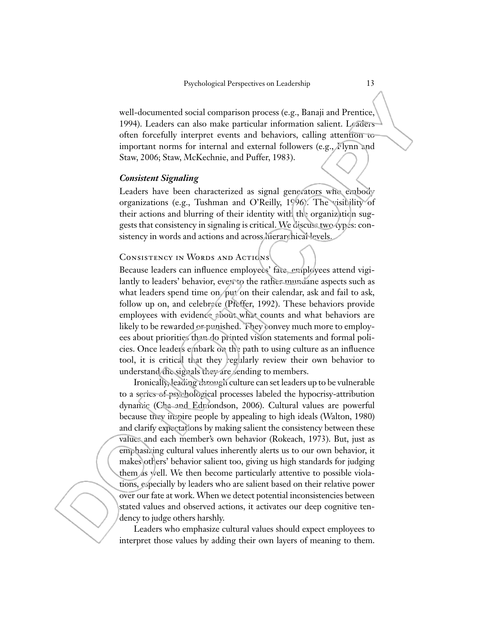well-documented social comparison process (e.g., Banaji and Prentice, 1994). Leaders can also make particular information salient. Leaders often forcefully interpret events and behaviors, calling attention to important norms for internal and external followers (e.g., Flynn and Staw, 2006; Staw, McKechnie, and Puffer, 1983).

#### *Consistent Signaling*

Leaders have been characterized as signal generators who embody organizations (e.g., Tushman and O'Reilly, 1996). The visibility of their actions and blurring of their identity with the organization suggests that consistency in signaling is critical. We discuss two types: consistency in words and actions and across hierarchical levels.

#### CONSISTENCY IN WORDS AND ACTIONS

Because leaders can influence employees' fate, employees attend vigilantly to leaders' behavior, even to the rather mundane aspects such as what leaders spend time on, put on their calendar, ask and fail to ask, follow up on, and celebrate (Pfeffer, 1992). These behaviors provide employees with evidence about what counts and what behaviors are likely to be rewarded or punished. They convey much more to employees about priorities than do printed vision statements and formal policies. Once leaders embark on the path to using culture as an influence tool, it is critical that they regularly review their own behavior to understand the signals they are sending to members.

Ironically, leading through culture can set leaders up to be vulnerable to a series of psychological processes labeled the hypocrisy-attribution dynamic ( Cha and Edmondson, 2006). Cultural values are powerful because they inspire people by appealing to high ideals (Walton, 1980) and clarify expectations by making salient the consistency between these values and each member's own behavior (Rokeach, 1973). But, just as emphasizing cultural values inherently alerts us to our own behavior, it makes others' behavior salient too, giving us high standards for judging them as well. We then become particularly attentive to possible violations, especially by leaders who are salient based on their relative power over our fate at work. When we detect potential inconsistencies between stated values and observed actions, it activates our deep cognitive tendency to judge others harshly.

Leaders who emphasize cultural values should expect employees to interpret those values by adding their own layers of meaning to them.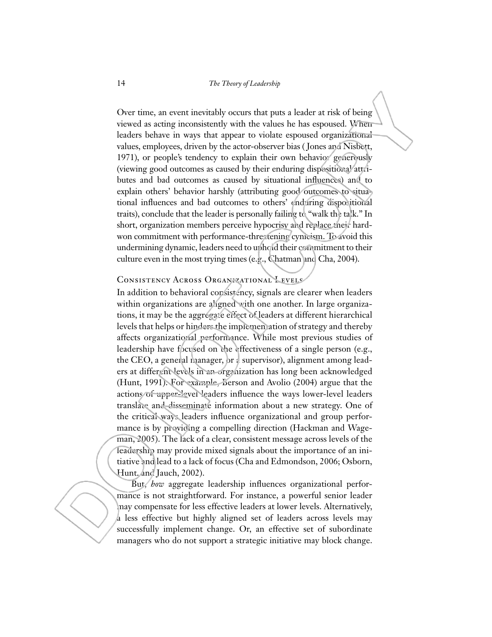Over time, an event inevitably occurs that puts a leader at risk of being viewed as acting inconsistently with the values he has espoused. When leaders behave in ways that appear to violate espoused organizational values, employees, driven by the actor-observer bias ( Jones and Nisbett, 1971), or people's tendency to explain their own behavior generously (viewing good outcomes as caused by their enduring dispositional attributes and bad outcomes as caused by situational influences) and to explain others' behavior harshly (attributing good outcomes to situational influences and bad outcomes to others' enduring dispositional traits), conclude that the leader is personally failing to "walk the talk." In short, organization members perceive hypocrisy and replace their hardwon commitment with performance-threatening cynicism. To avoid this undermining dynamic, leaders need to uphold their commitment to their culture even in the most trying times (e.g., Chatman and Cha, 2004).

#### Consistency Across Organizational Levels

In addition to behavioral consistency, signals are clearer when leaders within organizations are aligned with one another. In large organizations, it may be the aggregate effect of leaders at different hierarchical levels that helps or hinders the implementation of strategy and thereby affects organizational performance. While most previous studies of leadership have focused on the effectiveness of a single person (e.g., the CEO, a general manager, or a supervisor), alignment among leaders at different levels in an organization has long been acknowledged ( Hunt, 1991). For example, Berson and Avolio (2004) argue that the actions of upper-level leaders influence the ways lower-level leaders translate and disseminate information about a new strategy. One of the critical ways leaders influence organizational and group performance is by providing a compelling direction (Hackman and Wageman, 2005). The lack of a clear, consistent message across levels of the leadership may provide mixed signals about the importance of an initiative and lead to a lack of focus ( Cha and Edmondson, 2006; Osborn, Hunt, and Jauch, 2002).

But, *how* aggregate leadership influences organizational performance is not straightforward. For instance, a powerful senior leader may compensate for less effective leaders at lower levels. Alternatively, a less effective but highly aligned set of leaders across levels may successfully implement change. Or, an effective set of subordinate managers who do not support a strategic initiative may block change.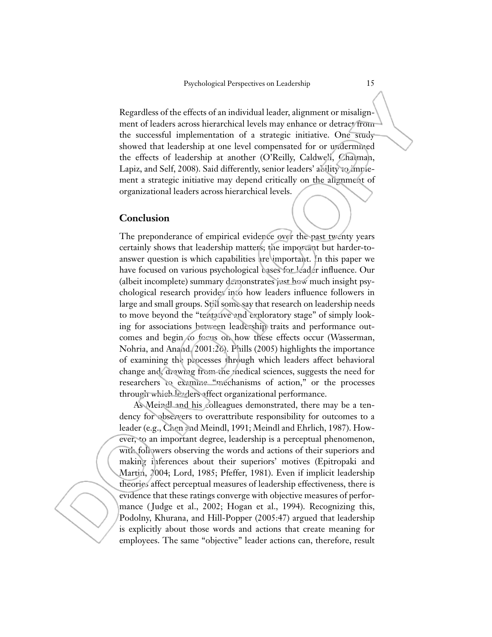Regardless of the effects of an individual leader, alignment or misalignment of leaders across hierarchical levels may enhance or detract from the successful implementation of a strategic initiative. One study showed that leadership at one level compensated for or undermined the effects of leadership at another (O'Reilly, Caldwe'l, Chatman, Lapiz, and Self, 2008). Said differently, senior leaders' ability to implement a strategic initiative may depend critically on the alignment of organizational leaders across hierarchical levels.

#### **Conclusion**

The preponderance of empirical evidence over the past twenty years certainly shows that leadership matters; the important but harder-toanswer question is which capabilities are important. In this paper we have focused on various psychological bases for leader influence. Our (albeit incomplete) summary demonstrates just how much insight psychological research provides into how leaders influence followers in large and small groups. Still some say that research on leadership needs to move beyond the "tentative and exploratory stage" of simply looking for associations between leadership traits and performance outcomes and begin to focus on how these effects occur (Wasserman, Nohria, and Anand, 2001:26). Phills (2005) highlights the importance of examining the processes through which leaders affect behavioral change and, drawing from the medical sciences, suggests the need for researchers to examine "mechanisms of action," or the processes through which leaders affect organizational performance.

As Meindl and his colleagues demonstrated, there may be a tendency for observers to overattribute responsibility for outcomes to a leader (e.g., Chen and Meindl, 1991; Meindl and Ehrlich, 1987). However, to an important degree, leadership is a perceptual phenomenon, with followers observing the words and actions of their superiors and making inferences about their superiors' motives (Epitropaki and Martin, 2004; Lord, 1985; Pfeffer, 1981). Even if implicit leadership theories affect perceptual measures of leadership effectiveness, there is evidence that these ratings converge with objective measures of performance ( Judge et al., 2002; Hogan et al., 1994). Recognizing this, Podolny, Khurana, and Hill-Popper (2005:47) argued that leadership is explicitly about those words and actions that create meaning for employees. The same "objective" leader actions can, therefore, result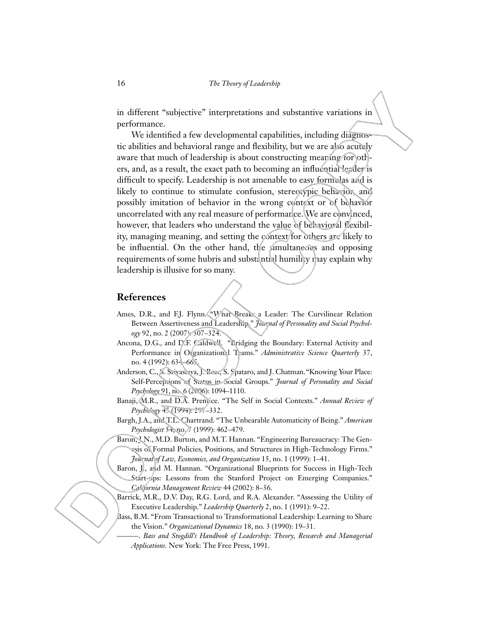in different "subjective" interpretations and substantive variations in performance.

We identified a few developmental capabilities, including diagnostic abilities and behavioral range and flexibility, but we are also acutely aware that much of leadership is about constructing meaning for others, and, as a result, the exact path to becoming an influential leader is difficult to specify. Leadership is not amenable to easy formulas and is likely to continue to stimulate confusion, stereotypic behavior, and possibly imitation of behavior in the wrong context or of behavior uncorrelated with any real measure of performance. We are convinced, however, that leaders who understand the value of behavioral flexibility, managing meaning, and setting the context for others are likely to be influential. On the other hand, the simultaneous and opposing requirements of some hubris and substantial humility may explain why leadership is illusive for so many.

#### **References**

- Ames, D.R., and F.J. Flynn. "What Breaks a Leader: The Curvilinear Relation Between Assertiveness and Leadership." *Journal of Personality and Social Psychology* 92, no. 2 (2007): 307–324.
- Ancona, D.G., and D.F. Caldwell. "Bridging the Boundary: External Activity and Performance in Organizational Teams." Administrative Science Quarterly 37, no. 4 (1992): 634–665.
- Anderson, C., S. Srivastava, J. Beer, S. Spataro, and J. Chatman. "Knowing Your Place: Self-Perceptions of Status in Social Groups." *Journal of Personality and Social Psychology* 91, no. 6 (2006): 1094-1110.
- Banaji, M.R., and D.A. Prentice. "The Self in Social Contexts." *Annual Review of* Psychology 45 (1994): 297-332.
- Bargh, J.A., and T.L. Chartrand. "The Unbearable Automaticity of Being." *American Psychologist* 54, no. 7 (1999): 462–479.
- Baron, J.N., M.D. Burton, and M.T. Hannan. "Engineering Bureaucracy: The Genesis of Formal Policies, Positions, and Structures in High-Technology Firms." *Journal of Law, Economics, and Organization* 15, no. 1 (1999): 1–41.
- Baron, J., and M. Hannan. "Organizational Blueprints for Success in High-Tech Start-ups: Lessons from the Stanford Project on Emerging Companies." *California Management Review* 44 (2002): 8–36.
- Barrick, M.R., D.V. Day, R.G. Lord, and R.A. Alexander. "Assessing the Utility of Executive Leadership." *Leadership Quarterly* 2, no. 1 (1991): 9–22.
- Bass, B.M. "From Transactional to Transformational Leadership: Learning to Share the Vision." *Organizational Dynamics* 18, no. 3 (1990): 19–31.
	- ——— . *Bass and Stogdill's Handbook of Leadership: Theory, Research and Managerial Applications.* New York: The Free Press, 1991.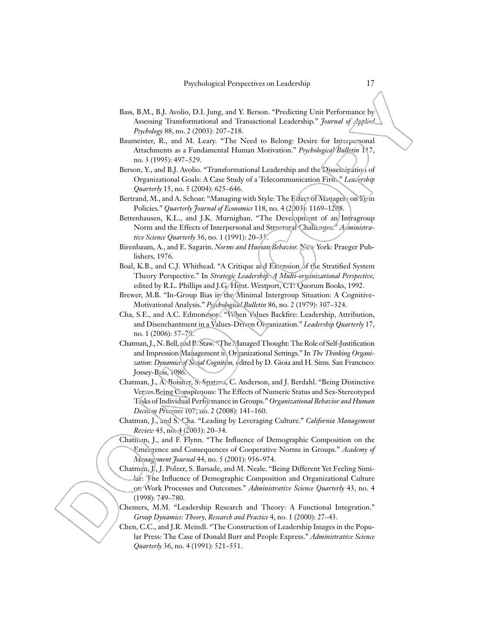- Bass, B.M., B.J. Avolio, D.I. Jung, and Y. Berson. "Predicting Unit Performance by Assessing Transformational and Transactional Leadership." *Journal of Applied Psychology* 88, no. 2 (2003): 207–218.
- Baumeister, R., and M. Leary. "The Need to Belong: Desire for Interpersonal Attachments as a Fundamental Human Motivation." *Psychological Bulletin* 117, no. 3 (1995): 497–529.
- Berson, Y., and B.J. Avolio. "Transformational Leadership and the Dissemination of Organizational Goals: A Case Study of a Telecommunication Firm." *Leadership Quarterly* 15, no. 5 (2004): 625–646.
- Bertrand, M., and A. Schoar. "Managing with Style: The Fifect of Managers on Firm Policies." *Quarterly Journal of Economics* 118, no. 4 (2003): 1169–1208.
- Bettenhausen, K.L., and J.K. Murnighan. "The Development of an Intragroup Norm and the Effects of Interpersonal and Structural Challenges." *A ministrative Science Quarterly* 36, no. 1 (1991): 20–35.
- Birenbaum, A., and E. Sagarin. *Norms and Human Behavior.* New York: Praeger Publishers, 1976.
- Boal, K.B., and C.J. Whithead. "A Critique and Extension of the Stratified System Theory Perspective." In *Strategic Leadership: A Multi-organizational Perspective,* edited by R.L. Phillips and J.G. Hunt. Westport, CT: Quorum Books, 1992.
- Brewer, M.B. "In-Group Bias in the Minimal Intergroup Situation: A Cognitive-Motivational Analysis." *Psychological Bulletin* 86, no. 2 (1979): 307–324.
- Cha, S.E., and A.C. Edmondsor. "When Values Backfire: Leadership, Attribution, and Disenchantment in a Values-Driven Organization." Leadership Quarterly 17, no. 1 (2006): 57–78.
- Chatman, J., N. Bell, and P. Staw. "The Managed Thought: The Role of Self-Justification and Impression Management in Organizational Settings." In *The Thinking Organization: Dynamics of Social Cognition,* edited by D. Gioia and H. Sims. San Francisco: Jossey-Bass, 1986.
- Chatman, J., A. Boisner, S. Spataro, C. Anderson, and J. Berdahl. "Being Distinctive Versus Being Conspicuous: The Effects of Numeric Status and Sex-Stereotyped T. sks of Individual Performance in Groups." Organizational Behavior and Human *Decision Processes* 107, no. 2 (2008): 141–160.
- Chatman, J., and S. Cha. "Leading by Leveraging Culture." *California Management Review* 45, no. 4 (2003): 20–34.
- Chatman, J., and F. Flynn. "The Influence of Demographic Composition on the Emergence and Consequences of Cooperative Norms in Groups." *Academy of Management Journal* 44, no. 5 (2001): 956–974.
- Chatman, J., J. Polzer, S. Barsade, and M. Neale. "Being Different Yet Feeling Similar: The Influence of Demographic Composition and Organizational Culture on Work Processes and Outcomes." *Administrative Science Quarterly* 43, no. 4 (1998): 749–780.
- Chemers, M.M. "Leadership Research and Theory: A Functional Integration." *Group Dynamics: Theory, Research and Practice* 4, no. 1 (2000): 27–43.
- Chen, C.C., and J.R. Meindl. "The Construction of Leadership Images in the Popular Press: The Case of Donald Burr and People Express." *Administrative Science Quarterly* 36, no. 4 (1991): 521–551.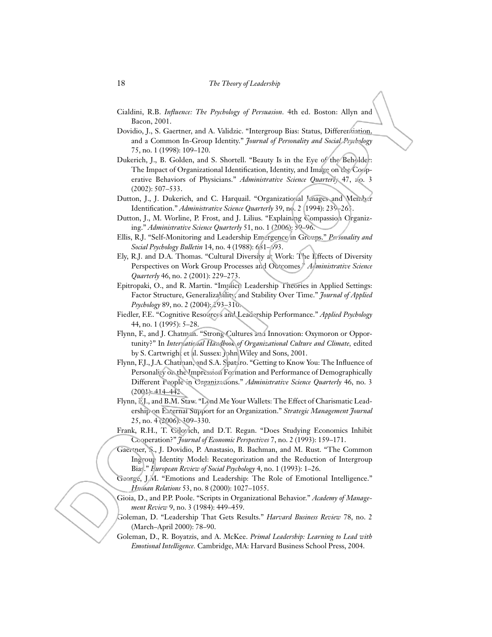- Cialdini, R.B. *Influence: The Psychology of Persuasion*. 4th ed. Boston: Allyn and Bacon, 2001.
- Dovidio, J., S. Gaertner, and A. Validzic. "Intergroup Bias: Status, Differentiation. and a Common In-Group Identity." *Journal of Personality and Social Psychology* 75, no. 1 (1998): 109–120.
- Dukerich, J., B. Golden, and S. Shortell. "Beauty Is in the Eye of the Beholder: The Impact of Organizational Identification, Identity, and Image on the Cooperative Behaviors of Physicians." *Administrative Science Quarteri*; 47, 10. 3 (2002): 507–533.
- Dutton, J., J. Dukerich, and C. Harquail. "Organizational Images and Member Identification." *Administrative Science Quarterly* 39, no. 2 (1994): 239-263.
- Dutton, J., M. Worline, P. Frost, and J. Lilius. "Explaining Compassion Organizing." *Administrative Science Quarterly* 51, no. 1 (2006): 59–96.
- Ellis, R.J. "Self-Monitoring and Leadership Emergence in Groups." *Personality and Social Psychology Bulletin* 14, no. 4 (1988): 681–693.
- Ely, R.J. and D.A. Thomas. "Cultural Diversity at Work: The Effects of Diversity Perspectives on Work Group Processes and Outcomes<sup>"</sup> Administrative Science *Quarterly* 46, no. 2 (2001): 229–273.
- Epitropaki, O., and R. Martin. "Implicit Leadership Theories in Applied Settings: Factor Structure, Generalizability, and Stability Over Time." *Journal of Applied Psychology* 89, no. 2 (2004): 293–310.
- Fiedler, F.E. "Cognitive Resources and Leadership Performance." *Applied Psychology* 44, no. 1 (1995): 5–28.
- Flynn, F., and J. Chatman. "Strong Cultures and Innovation: Oxymoron or Opportunity?" In *International Handbook of Organizational Culture and Climate,* edited by S. Cartwright et al. Sussex: John Wiley and Sons, 2001.
- Flynn, F.J., J.A. Chatman, and S.A. Spataro. "Getting to Know You: The Influence of Personality on the Impression Formation and Performance of Demographically Different People in Organizations." *Administrative Science Quarterly* 46, no. 3  $(2001): 414 - 442.$
- Flynn, F.J., and B.M. Staw. "Lend Me Your Wallets: The Effect of Charismatic Leadership on External Support for an Organization." *Strategic Management Journal* 25, no. 4 (2006): 309–330.
- Frank, R.H., T. Gilovich, and D.T. Regan. "Does Studying Economics Inhibit Cooperation?" *Journal of Economic Perspectives* 7, no. 2 (1993): 159–171.
- Gaertner, S., J. Dovidio, P. Anastasio, B. Bachman, and M. Rust. "The Common Ingroup Identity Model: Recategorization and the Reduction of Intergroup Bias." *European Review of Social Psychology* 4, no. 1 (1993): 1–26.
- George, J.M. "Emotions and Leadership: The Role of Emotional Intelligence." *Human Relations* 53, no. 8 (2000): 1027–1055.
- Gioia, D., and P.P. Poole. "Scripts in Organizational Behavior." *Academy of Management Review* 9, no. 3 (1984): 449–459.
- Goleman, D. "Leadership That Gets Results." *Harvard Business Review* 78, no. 2 (March–April 2000): 78–90.
- Goleman, D., R. Boyatzis, and A. McKee. *Primal Leadership: Learning to Lead with Emotional Intelligence.* Cambridge, MA: Harvard Business School Press, 2004.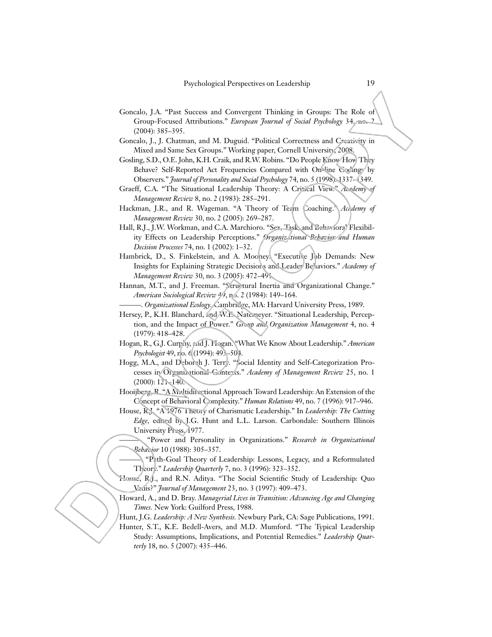- Goncalo, J.A. "Past Success and Convergent Thinking in Groups: The Role of Group-Focused Attributions." *European Journal of Social Psychology* 34, no. 2 (2004): 385–395.
- Goncalo, J., J. Chatman, and M. Duguid. "Political Correctness and Creativity in Mixed and Same Sex Groups." Working paper, Cornell University, 2008.
- Gosling, S.D., O.E. John, K.H. Craik, and R.W. Robins. "Do People Know How They Behave? Self-Reported Act Frequencies Compared with On-line Codings by Observers." *Journal of Personality and Social Psychology* 74, no. 5 (1998): 1337–1349.
- Graeff, C.A. "The Situational Leadership Theory: A Critical View." Academy of *Management Review* 8, no. 2 (1983): 285–291.
- Hackman, J.R., and R. Wageman. "A Theory of Team Coaching." Ac demy of *Management Review* 30, no. 2 (2005): 269–287.
- Hall, R.J., J.W. Workman, and C.A. Marchioro. "Sex, Task, and Beheviora! Flexibility Effects on Leadership Perceptions." Organiz tional Behavior and Human *Decision Processes* 74, no. 1 (2002): 1–32.
- Hambrick, D., S. Finkelstein, and A. Mooney. "Executive Job Demands: New Insights for Explaining Strategic Decisions and Leader Behaviors." *Academy of Management Review* 30, no. 3 (2005): 472–491.
- Hannan, M.T., and J. Freeman. "Structural Inertia and Organizational Change." *American Sociological Review* 49, no. 2 (1984): 149–164.
- ——— . *Organizational Ecology.* Cambridge, MA: Harvard University Press, 1989.
- Hersey, P., K.H. Blanchard, and W.E. Natemeyer. "Situational Leadership, Perception, and the Impact of Power." *Group and Organization Management* 4, no. 4 (1979): 418–428.
- Hogan, R., G.J. Curphy, and J. Hogan. "What We Know About Leadership." *American Psychologist* 49, no. 6 (1994): 493–504.
- Hogg, M.A., and Deborch J. Terry. "Social Identity and Self-Categorization Processes in Organizational Contexts." *Academy of Management Review* 25, no. 1 (2000): 121–140.
- Hooijberg, R. "A Multidirectional Approach Toward Leadership: An Extension of the Concept of Behavioral Complexity." *Human Relations* 49, no. 7 (1996): 917–946.
- House, R.J. "A 1976 Theory of Charismatic Leadership." In *Leadership: The Cutting Edge,* edited by J.G. Hunt and L.L. Larson. Carbondale: Southern Illinois University Press, 1977.
	- ——— . "Power and Personality in Organizations." *Research in Organizational Behavior* 10 (1988): 305–357.
	- ——— . "Path-Goal Theory of Leadership: Lessons, Legacy, and a Reformulated Theory." *Leadership Quarterly* 7, no. 3 (1996): 323–352.
- House, R.J., and R.N. Aditya. "The Social Scientific Study of Leadership: Quo Vadis?" *Journal of Management* 23, no. 3 (1997): 409–473.
- Howard, A., and D. Bray. *Managerial Lives in Transition: Advancing Age and Changing Times.* New York: Guilford Press, 1988.
- Hunt, J.G. *Leadership: A New Synthesis.* Newbury Park, CA: Sage Publications, 1991. Hunter, S.T., K.E. Bedell-Avers, and M.D. Mumford. "The Typical Leadership Study: Assumptions, Implications, and Potential Remedies." *Leadership Quarterly* 18, no. 5 (2007): 435–446.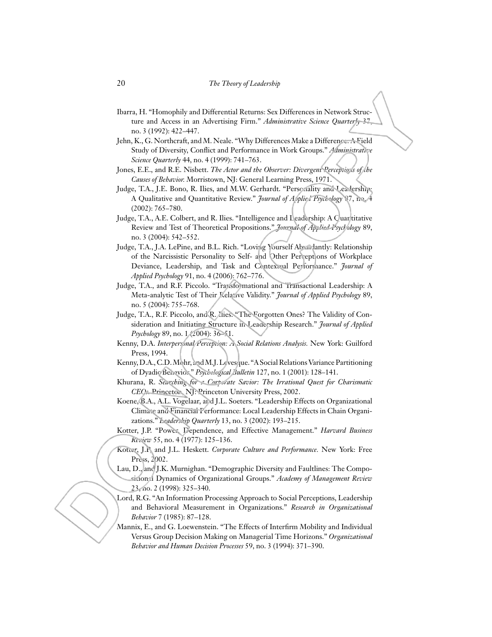- Ibarra, H. "Homophily and Differential Returns: Sex Differences in Network Structure and Access in an Advertising Firm." *Administrative Science Quarterly* 37, no. 3 (1992): 422–447.
- Jehn, K., G. Northcraft, and M. Neale. "Why Differences Make a Difference: A Field Study of Diversity, Conflict and Performance in Work Groups." Administrative *Science Quarterly* 44, no. 4 (1999): 741–763.
- Jones, E.E., and R.E. Nisbett. *The Actor and the Observer: Divergent Perceptions of the Causes of Behavior.* Morristown, NJ: General Learning Press, 1971.
- Judge, T.A., J.E. Bono, R. Ilies, and M.W. Gerhardt. "Personality and Leadership: A Qualitative and Quantitative Review." *Journal of Applied Psychology* 87, no. 4 (2002): 765–780.
- Judge, T.A., A.E. Colbert, and R. Ilies. "Intelligence and Leadership: A Quantitative Review and Test of Theoretical Propositions." *Journal of Applied Psychology* 89, no. 3 (2004): 542–552.
- Judge, T.A., J.A. LePine, and B.L. Rich. "Loving Yourself Abundantly: Relationship of the Narcissistic Personality to Self- and Other Perceptions of Workplace Deviance, Leadership, and Task and Contextual Performance." *Journal of Applied Psychology* 91, no. 4 (2006): 762–776.
- Judge, T.A., and R.F. Piccolo. "Transformational and Transactional Leadership: A Meta-analytic Test of Their Relative Validity." *Journal of Applied Psychology* 89, no. 5 (2004): 755–768.
- Judge, T.A., R.F. Piccolo, and R. Ilies. "The Forgotten Ones? The Validity of Consideration and Initiating Structure in Leadership Research." *Journal of Applied Psychology* 89, no. 1 (2004): 36–51.
- Kenny, D.A. *Interpersonal Perception: A Social Relations Analysis.* New York: Guilford Press, 1994.
- Kenny, D.A., C.D. Mohr, and M.J. Levesque. "A Social Relations Variance Partitioning of Dyadic Behavior." *Psychological Bulletin* 127, no. 1 (2001): 128–141.
- Khurana, R. *Searching for a Corporate Savior: The Irrational Quest for Charismatic CEOs.* Princeton, NJ: Princeton University Press, 2002.
- Koene, B.A., A.L. Vogelaar, and J.L. Soeters. "Leadership Effects on Organizational Climate and Financial Performance: Local Leadership Effects in Chain Organizations." *Leadership Quarterly* 13, no. 3 (2002): 193–215.
- Kotter, J.P. "Power, Dependence, and Effective Management." *Harvard Business Review* 55, no. 4 (1977): 125–136.
- Kotter, J.P, and J.L. Heskett. *Corporate Culture and Performance.* New York: Free Press, 2002.
- Lau, D., and J.K. Murnighan. "Demographic Diversity and Faultlines: The Compositional Dynamics of Organizational Groups." *Academy of Management Review* 23, no. 2 (1998): 325–340.
- Lord, R.G. "An Information Processing Approach to Social Perceptions, Leadership and Behavioral Measurement in Organizations." *Research in Organizational Behavior* 7 (1985): 87–128.
- Mannix, E., and G. Loewenstein. "The Effects of Interfirm Mobility and Individual Versus Group Decision Making on Managerial Time Horizons." *Organizational Behavior and Human Decision Processes* 59, no. 3 (1994): 371–390.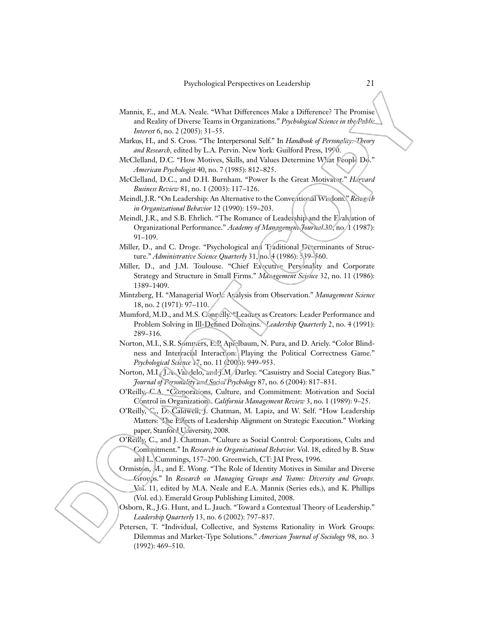- Mannix, E., and M.A. Neale. "What Differences Make a Difference? The Promise and Reality of Diverse Teams in Organizations." *Psychological Science in the Public Interest* 6, no. 2 (2005): 31–55.
- Markus, H., and S. Cross. "The Interpersonal Self." In Handbook of Personality. Theory *and Research,* edited by L.A. Pervin. New York: Guilford Press, 1990.
- McClelland, D.C. "How Motives, Skills, and Values Determine What People Do." *American Psychologist* 40, no. 7 (1985): 812–825.
- McClelland, D.C., and D.H. Burnham. "Power Is the Great Motivator." *Harvard Business Review* 81, no. 1 (2003): 117–126.
- Meindl, J.R. "On Leadership: An Alternative to the Conventional Wisdom." *Research in Organizational Behavior* 12 (1990): 159–203.
- Meindl, J.R., and S.B. Ehrlich. "The Romance of Leadership and the Evaluation of Organizational Performance." *Academy of Management Journal* 30, no. 1 (1987): 91–109.
- Miller, D., and C. Droge. "Psychological and Taditional Determinants of Structure." *Administrative Science Quarterly* 31, no. 4 (1986): 539–560.
- Miller, D., and J.M. Toulouse. "Chief Executive Personality and Corporate Strategy and Structure in Small Firms." *Management Science* 32, no. 11 (1986): 1389–1409.
- Mintzberg, H. "Managerial Wor<sup>l</sup>x: Analysis from Observation." *Management Science* 18, no. 2 (1971): 97–110.
- Mumford, M.D., and M.S. Conrelly. "Leaders as Creators: Leader Performance and Problem Solving in Ill-Defined Domains." *Leadership Quarterly* 2, no. 4 (1991): 289–316.
- Norton, M.I., S.R. Sommers, E.P. Apfelbaum, N. Pura, and D. Ariely. "Color Blindness and Interracial Interaction: Playing the Political Correctness Game." *Psychological Science* 17, no. 11 (2006): 949–953.
- Norton, M.I., J.A. Vandelo, and J.M. Darley. "Casuistry and Social Category Bias." *Journal of Personality and Social Psychology* 87, no. 6 (2004): 817–831.
- O'Reilly, C.A. "Corporations, Culture, and Commitment: Motivation and Social Control in Organization *.. California Management Review* 3, no. 1 (1989): 9-25.
- O'Reilly, C., D. Caldweii, J. Chatman, M. Lapiz, and W. Self. "How Leadership Matters: The Effects of Leadership Alignment on Strategic Execution." Working paper, Stanfor<sup>1</sup> University, 2008.
- O'Reilly, C., and J. Chatman. "Culture as Social Control: Corporations, Cults and Commitment." In *Research in Organizational Behavior.* Vol. 18, edited by B. Staw and L. Cummings, 157–200. Greenwich, CT: JAI Press, 1996.
- Ormiston, M., and E. Wong. "The Role of Identity Motives in Similar and Diverse Groups." In *Research on Managing Groups and Teams: Diversity and Groups.* Vol. 11, edited by M.A. Neale and E.A. Mannix (Series eds.), and K. Phillips (Vol. ed.). Emerald Group Publishing Limited, 2008.
- Osborn, R., J.G. Hunt, and L. Jauch. "Toward a Contextual Theory of Leadership." *Leadership Quarterly* 13, no. 6 (2002): 797–837.
- Petersen, T. "Individual, Collective, and Systems Rationality in Work Groups: Dilemmas and Market-Type Solutions." *American Journal of Sociology* 98, no. 3 (1992): 469–510.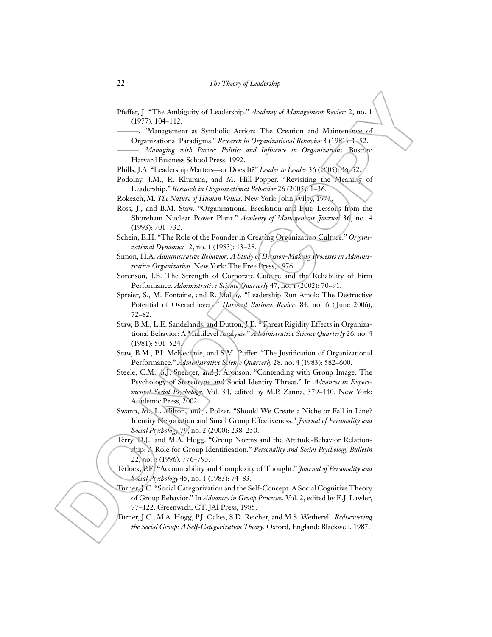- Pfeffer, J. "The Ambiguity of Leadership." *Academy of Management Review* 2, no. 1 (1977): 104–112.
	- ——— . "Management as Symbolic Action: The Creation and Maintenance of Organizational Paradigms." *Research in Organizational Behavior* 3 (1981): 1–52.
	- . *Managing with Power: Politics and Influence in Organizations.* Boston: Harvard Business School Press, 1992.
- Phills, J.A. "Leadership Matters—or Does It?" *Leader to Leader* 36 (2005): 46–52.
- Podolny, J.M., R. Khurana, and M. Hill-Popper. "Revisiting the Meaning of Leadership." *Research in Organizational Behavior* 26 (2005): 1–36.
- Rokeach, M. *The Nature of Human Values.* New York: John Wiley, 1973.
- Ross, J., and B.M. Staw. "Organizational Escalation and Exit: Lessons from the Shoreham Nuclear Power Plant." *Academy of Management Journal* 36, no. 4 (1993): 701–732.
- Schein, E.H. "The Role of the Founder in Creating Organization Culture." *Organizational Dynamics* 12, no. 1 (1983): 13–28.
- Simon, H.A. *Administrative Behavior: A Study of De* ision-Making Processes in Adminis*trative Organization.* New York: The Free Press, 1976.
- Sorenson, J.B. The Strength of Corporate Culture and the Reliability of Firm Performance. *Administrative Sci.nce Quarterly* 47, no. 1 (2002): 70-91.
- Spreier, S., M. Fontaine, and R. Malloy. "Leadership Run Amok: The Destructive Potential of Overachievers." *Harvard Business Review* 84, no. 6 (June 2006), 72–82.
- Staw, B.M., L.E. Sandelands, and Dutton, J.E. "Threat Rigidity Effects in Organizational Behavior: A Multilevel Analysis." *Administrative Science Quarterly* 26, no. 4 (1981): 501–524.
- Staw, B.M., P.I. McKechnie, and S.M. Puffer. "The Justification of Organizational Performance." *Administrative Science Quarterly* 28, no. 4 (1983): 582–600.
- Steele, C.M., S.J. Spencer, and J. Aronson. "Contending with Group Image: The Psychology of Stereotype and Social Identity Threat." In *Advances in Experimental Social Psychology.* Vol. 34, edited by M.P. Zanna, 379–440. New York: Academic Press, 2002.
- Swann, M., L. Milton, and J. Polzer. "Should We Create a Niche or Fall in Line? Identity Negotiation and Small Group Effectiveness." *Journal of Personality and Social Psychology* 79, no. 2 (2000): 238–250.
- Terry, D.J., and M.A. Hogg. "Group Norms and the Attitude-Behavior Relationship: A Role for Group Identification." *Personality and Social Psychology Bulletin* 22, no. 8 (1996): 776–793.
- Tetlock, P.E. "Accountability and Complexity of Thought." *Journal of Personality and Social Psychology* 45, no. 1 (1983): 74–83.
- Turner, J.C. "Social Categorization and the Self-Concept: A Social Cognitive Theory of Group Behavior." In *Advances in Group Processes*. Vol. 2, edited by E.J. Lawler, 77–122. Greenwich, CT: JAI Press, 1985.
- Turner, J.C., M.A. Hogg, P.J. Oakes, S.D. Reicher, and M.S. Wetherell. *Rediscovering the Social Group: A Self-Categorization Theory.* Oxford, England: Blackwell, 1987.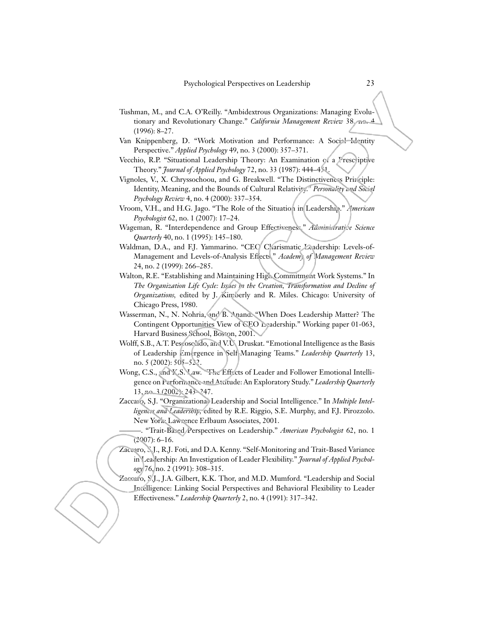- Tushman, M., and C.A. O'Reilly. "Ambidextrous Organizations: Managing Evolutionary and Revolutionary Change." *California Management Review* 38, no. 4 (1996): 8–27.
- Van Knippenberg, D. "Work Motivation and Performance: A Social Identity Perspective." *Applied Psychology* 49, no. 3 (2000): 357–371.
- Vecchio, R.P. "Situational Leadership Theory: An Examination of a Prescriptive Theory." *Journal of Applied Psychology* 72, no. 33 (1987): 444–451.
- Vignoles, V., X. Chryssochoou, and G. Breakwell. "The Distinctiveness Principle: Identity, Meaning, and the Bounds of Cultural Relativity." *Personality and Social Psychology Review* 4, no. 4 (2000): 337–354.
- Vroom, V.H., and H.G. Jago. "The Role of the Situation in Leadership." *American Psychologist* 62, no. 1 (2007): 17–24.
- Wageman, R. "Interdependence and Group Effectiveness." *Administrative Science Quarterly* 40, no. 1 (1995): 145–180.
- Waldman, D.A., and F.J. Yammarino. "CEO Charismatic Leadership: Levels-of-Management and Levels-of-Analysis Effects." *Academy of Management Review* 24, no. 2 (1999): 266–285.
- Walton, R.E. "Establishing and Maintaining High Commitment Work Systems." In *The Organization Life Cycle: Issues in the Creation, Transformation and Decline of Organizations,* edited by J. Kimberly and R. Miles. Chicago: University of Chicago Press, 1980.
- Wasserman, N., N. Nohria, and B. Anand. "When Does Leadership Matter? The Contingent Opportunities View of CEO Leadership." Working paper 01-063, Harvard Business School, Boston, 2001.
- Wolff, S.B., A.T. Pescosolido, and V.U. Druskat. "Emotional Intelligence as the Basis of Leadership Emergence in Self-Managing Teams." *Leadership Quarterly* 13, no. 5 (2002): 505–522.
- Wong, C.S., and Y.S. Law. "The Effects of Leader and Follower Emotional Intelligence on Performance and Attitude: An Exploratory Study." *Leadership Quarterly* 13, no. 3 (2002): 243–247.
- Zaccaro, S.J. "Organizational Leadership and Social Intelligence." In *Multiple Intelligences and Leadership,* edited by R.E. Riggio, S.E. Murphy, and F.J. Pirozzolo. New York: Lawrence Erlbaum Associates, 2001.
	- ——— . "Trait-Based Perspectives on Leadership." *American Psychologist* 62, no. 1 (2007): 6–16.
- Zaccaro, S.J., R.J. Foti, and D.A. Kenny. "Self-Monitoring and Trait-Based Variance in Leadership: An Investigation of Leader Flexibility." *Journal of Applied Psychology* 76, no. 2 (1991): 308–315.
- Zaccaro, S.J., J.A. Gilbert, K.K. Thor, and M.D. Mumford. "Leadership and Social Intelligence: Linking Social Perspectives and Behavioral Flexibility to Leader Effectiveness." *Leadership Quarterly* 2, no. 4 (1991): 317–342.